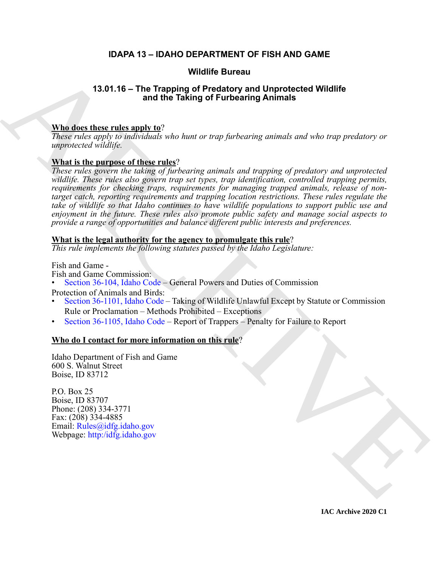### **IDAPA 13 – IDAHO DEPARTMENT OF FISH AND GAME**

#### **Wildlife Bureau**

#### **13.01.16 – The Trapping of Predatory and Unprotected Wildlife and the Taking of Furbearing Animals**

#### **Who does these rules apply to**?

*These rules apply to individuals who hunt or trap furbearing animals and who trap predatory or unprotected wildlife.*

#### **What is the purpose of these rules**?

**STATES**<br> **STATES**<br> **STATES The Trapping of Protestany and Unprotected Wildlife<br>
<b>State where relevantly** and the Tasking of Fundresony and the state of Protestant American and the state professor of Degree collections of *These rules govern the taking of furbearing animals and trapping of predatory and unprotected wildlife. These rules also govern trap set types, trap identification, controlled trapping permits, requirements for checking traps, requirements for managing trapped animals, release of nontarget catch, reporting requirements and trapping location restrictions. These rules regulate the take of wildlife so that Idaho continues to have wildlife populations to support public use and enjoyment in the future. These rules also promote public safety and manage social aspects to provide a range of opportunities and balance different public interests and preferences.*

#### **What is the legal authority for the agency to promulgate this rule**?

*This rule implements the following statutes passed by the Idaho Legislature:*

Fish and Game - Fish and Game Commission: • Section 36-104, Idaho Code – General Powers and Duties of Commission

Protection of Animals and Birds:

- Section 36-1101, Idaho Code Taking of Wildlife Unlawful Except by Statute or Commission Rule or Proclamation – Methods Prohibited – Exceptions
- Section 36-1105, Idaho Code Report of Trappers Penalty for Failure to Report

#### **Who do I contact for more information on this rule**?

Idaho Department of Fish and Game 600 S. Walnut Street Boise, ID 83712

P.O. Box 25 Boise, ID 83707 Phone: (208) 334-3771 Fax: (208) 334-4885 Email: Rules@idfg.idaho.gov Webpage: http:/idfg.idaho.gov

**IAC Archive 2020 C1**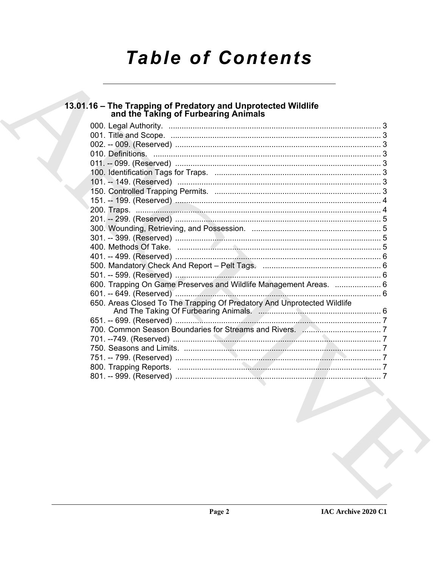# **Table of Contents**

## 13.01.16 - The Trapping of Predatory and Unprotected Wildlife<br>and the Taking of Furbearing Animals

| 600. Trapping On Game Preserves and Wildlife Management Areas.  6       |  |
|-------------------------------------------------------------------------|--|
|                                                                         |  |
| 650. Areas Closed To The Trapping Of Predatory And Unprotected Wildlife |  |
|                                                                         |  |
|                                                                         |  |
|                                                                         |  |
|                                                                         |  |
|                                                                         |  |
|                                                                         |  |
|                                                                         |  |
|                                                                         |  |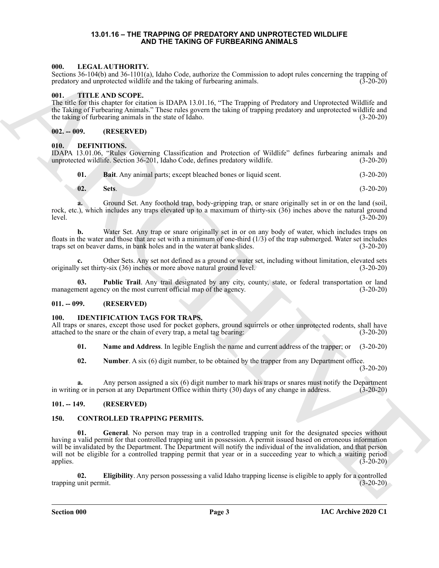#### **13.01.16 – THE TRAPPING OF PREDATORY AND UNPROTECTED WILDLIFE AND THE TAKING OF FURBEARING ANIMALS**

#### <span id="page-2-16"></span><span id="page-2-1"></span><span id="page-2-0"></span>**000. LEGAL AUTHORITY.**

Sections 36-104(b) and 36-1101(a), Idaho Code, authorize the Commission to adopt rules concerning the trapping of predatory and unprotected wildlife and the taking of furbearing animals. (3-20-20)

#### <span id="page-2-20"></span><span id="page-2-2"></span>**001. TITLE AND SCOPE.**

The title for this chapter for citation is IDAPA 13.01.16, "The Trapping of Predatory and Unprotected Wildlife and the Taking of Furbearing Animals." These rules govern the taking of trapping predatory and unprotected wildlife and<br>the taking of furbearing animals in the state of Idaho. the taking of furbearing animals in the state of Idaho.

#### <span id="page-2-3"></span>**002. -- 009. (RESERVED)**

#### <span id="page-2-9"></span><span id="page-2-4"></span>**010. DEFINITIONS.**

IDAPA 13.01.06, "Rules Governing Classification and Protection of Wildlife" defines furbearing animals and unprotected wildlife. Section 36-201, Idaho Code, defines predatory wildlife. (3-20-20)

<span id="page-2-10"></span>

| 01. | <b>Bait.</b> Any animal parts: except bleached bones or liquid scent. | $(3-20-20)$ |
|-----|-----------------------------------------------------------------------|-------------|
|-----|-----------------------------------------------------------------------|-------------|

<span id="page-2-12"></span>
$$
02. Sets.
$$
 (3-20-20)

**a.** Ground Set. Any foothold trap, body-gripping trap, or snare originally set in or on the land (soil, rock, etc.), which includes any traps elevated up to a maximum of thirty-six (36) inches above the natural ground level. (3-20-20) level. (3-20-20)

**b.** Water Set. Any trap or snare originally set in or on any body of water, which includes traps on floats in the water and those that are set with a minimum of one-third  $(1/3)$  of the trap submerged. Water set includes traps set on beaver dams, in bank holes and in the water at bank slides. (3-20-20)

**c.** Other Sets. Any set not defined as a ground or water set, including without limitation, elevated sets y set thirty-six (36) inches or more above natural ground level. (3-20-20) originally set thirty-six  $(36)$  inches or more above natural ground level.

<span id="page-2-11"></span>**03. Public Trail**. Any trail designated by any city, county, state, or federal transportation or land management agency on the most current official map of the agency. (3-20-20)

#### <span id="page-2-5"></span>**011. -- 099. (RESERVED)**

#### <span id="page-2-13"></span><span id="page-2-6"></span>**1DENTIFICATION TAGS FOR TRAPS.**

All traps or snares, except those used for pocket gophers, ground squirrels or other unprotected rodents, shall have attached to the snare or the chain of every trap, a metal tag bearing: (3-20-20)

<span id="page-2-14"></span>**01. Name and Address**. In legible English the name and current address of the trapper; or (3-20-20)

<span id="page-2-15"></span>**02. Number**. A six (6) digit number, to be obtained by the trapper from any Department office.

(3-20-20)

**a.** Any person assigned a six (6) digit number to mark his traps or snares must notify the Department of g or in person at any Department Office within thirty (30) days of any change in address. (3-20-20) in writing or in person at any Department Office within thirty (30) days of any change in address.

#### <span id="page-2-7"></span>**101. -- 149. (RESERVED)**

#### <span id="page-2-19"></span><span id="page-2-17"></span><span id="page-2-8"></span>**150. CONTROLLED TRAPPING PERMITS.**

60. INCREASE THOMAS CARD CARD and Constructed The Constraints and the real of the constraints and the constraints of the constraints of the constraints of the constraints of the constraints of the constraints of the const **01.** General. No person may trap in a controlled trapping unit for the designated species without having a valid permit for that controlled trapping unit in possession. A permit issued based on erroneous information will be invalidated by the Department. The Department will notify the individual of the invalidation, and that person will not be eligible for a controlled trapping permit that year or in a succeeding year to which a waiting period applies.  $(3-20-20)$ 

<span id="page-2-18"></span>**02. Eligibility**. Any person possessing a valid Idaho trapping license is eligible to apply for a controlled trapping unit permit. (3-20-20)

**Section 000 Page 3**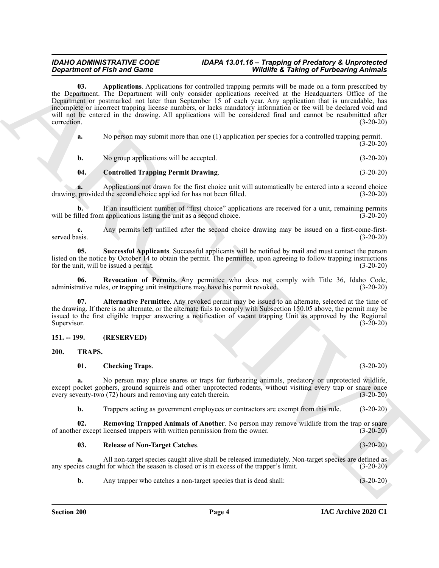#### <span id="page-3-3"></span>*IDAHO ADMINISTRATIVE CODE IDAPA 13.01.16 – Trapping of Predatory & Unprotected Wildlife & Taking of Furbearing Animals*

**Expansion of Finit and Connect Connect Connect Connect Connect Connect Connect Connect Connect Connect Connect Connect Connect Connect Connect Connect Connect Connect Connect Connect Connect Connect Connect Connect Conne 03. Applications**. Applications for controlled trapping permits will be made on a form prescribed by the Department. The Department will only consider applications received at the Headquarters Office of the Department or postmarked not later than September  $15$  of each year. Any application that is unreadable, has incomplete or incorrect trapping license numbers, or lacks mandatory information or fee will be declared void and will not be entered in the drawing. All applications will be considered final and cannot be resubmitted after correction. (3-20-20)

| No person may submit more than one (1) application per species for a controlled trapping permit. | $(3-20-20)$ |
|--------------------------------------------------------------------------------------------------|-------------|
| No group applications will be accepted.                                                          | $(3-20-20)$ |

#### <span id="page-3-4"></span>**04. Controlled Trapping Permit Drawing**. (3-20-20)

**a.** Applications not drawn for the first choice unit will automatically be entered into a second choice drawing, provided the second choice applied for has not been filled. (3-20-20)

**b.** If an insufficient number of "first choice" applications are received for a unit, remaining permits will be filled from applications listing the unit as a second choice. (3-20-20)

**c.** Any permits left unfilled after the second choice drawing may be issued on a first-come-first-<br>(3-20-20) (3-20-20) served basis. (3-20-20)

<span id="page-3-6"></span>**05. Successful Applicants**. Successful applicants will be notified by mail and must contact the person listed on the notice by October 14 to obtain the permit. The permittee, upon agreeing to follow trapping instructions for the unit, will be issued a permit. (3-20-20)

<span id="page-3-5"></span>**06. Revocation of Permits**. Any permittee who does not comply with Title 36, Idaho Code, administrative rules, or trapping unit instructions may have his permit revoked. (3-20-20)

<span id="page-3-2"></span>**07. Alternative Permittee**. Any revoked permit may be issued to an alternate, selected at the time of the drawing. If there is no alternate, or the alternate fails to comply with Subsection 150.05 above, the permit may be issued to the first eligible trapper answering a notification of vacant trapping Unit as approved by the Regional Supervisor. (3-20-20)

#### <span id="page-3-0"></span>**151. -- 199. (RESERVED)**

#### <span id="page-3-1"></span>**200. TRAPS.**

#### <span id="page-3-8"></span><span id="page-3-7"></span>**01. Checking Traps**. (3-20-20)

**a.** No person may place snares or traps for furbearing animals, predatory or unprotected wildlife, except pocket gophers, ground squirrels and other unprotected rodents, without visiting every trap or snare once<br>every seventy-two (72) hours and removing any catch therein. (3-20-20) every seventy-two (72) hours and removing any catch therein.

<span id="page-3-10"></span>**b.** Trappers acting as government employees or contractors are exempt from this rule. (3-20-20)

**02. Removing Trapped Animals of Another**. No person may remove wildlife from the trap or snare of another except licensed trappers with written permission from the owner. (3-20-20)

<span id="page-3-9"></span>**03. Release of Non-Target Catches**. (3-20-20)

**a.** All non-target species caught alive shall be released immediately. Non-target species are defined as any species caught for which the season is closed or is in excess of the trapper's limit. (3-20-20)

**b.** Any trapper who catches a non-target species that is dead shall:  $(3-20-20)$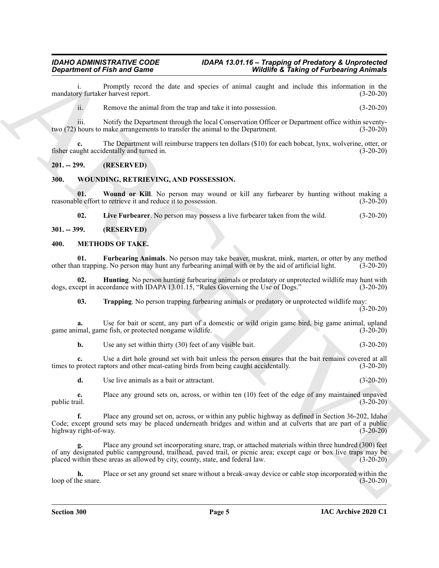#### *IDAHO ADMINISTRATIVE CODE IDAPA 13.01.16 – Trapping of Predatory & Unprotected Department of Fish and Game Wildlife & Taking of Furbearing Animals*

i. Promptly record the date and species of animal caught and include this information in the ry furtaker harvest report. (3-20-20) mandatory furtaker harvest report.

ii. Remove the animal from the trap and take it into possession. (3-20-20)

iii. Notify the Department through the local Conservation Officer or Department office within seventy-<br>hours to make arrangements to transfer the animal to the Department. (3-20-20) two (72) hours to make arrangements to transfer the animal to the Department.

**c.** The Department will reimburse trappers ten dollars (\$10) for each bobcat, lynx, wolverine, otter, or fisher caught accidentally and turned in. (3-20-20)

#### <span id="page-4-0"></span>**201. -- 299. (RESERVED)**

#### <span id="page-4-8"></span><span id="page-4-1"></span>**300. WOUNDING, RETRIEVING, AND POSSESSION.**

**01.** Wound or Kill. No person may wound or kill any furbearer by hunting without making a le effort to retrieve it and reduce it to possession. (3-20-20) reasonable effort to retrieve it and reduce it to possession.

<span id="page-4-10"></span><span id="page-4-9"></span><span id="page-4-5"></span><span id="page-4-4"></span>**02. Live Furbearer**. No person may possess a live furbearer taken from the wild. (3-20-20)

#### <span id="page-4-2"></span>**301. -- 399. (RESERVED)**

#### <span id="page-4-3"></span>**400. METHODS OF TAKE.**

**01. Furbearing Animals**. No person may take beaver, muskrat, mink, marten, or otter by any method n trapping. No person may hunt any furbearing animal with or by the aid of artificial light. (3-20-20) other than trapping. No person may hunt any furbearing animal with or by the aid of artificial light.

**02.** Hunting. No person hunting furbearing animals or predatory or unprotected wildlife may hunt with rept in accordance with IDAPA 13.01.15, "Rules Governing the Use of Dogs." (3-20-20) dogs, except in accordance with IDAPA 13.01.15, "Rules Governing the Use of Dogs."

<span id="page-4-7"></span><span id="page-4-6"></span>**03. Trapping**. No person trapping furbearing animals or predatory or unprotected wildlife may:  $(3-20-20)$ 

**a.** Use for bait or scent, any part of a domestic or wild origin game bird, big game animal, upland imal, game fish, or protected nongame wildlife. (3-20-20) game animal, game fish, or protected nongame wildlife.

**b.** Use any set within thirty (30) feet of any visible bait. (3-20-20)

**c.** Use a dirt hole ground set with bait unless the person ensures that the bait remains covered at all protect raptors and other meat-eating birds from being caught accidentally. (3-20-20) times to protect raptors and other meat-eating birds from being caught accidentally.

**d.** Use live animals as a bait or attractant. (3-20-20)

**e.** Place any ground sets on, across, or within ten (10) feet of the edge of any maintained unpaved public trail. (3-20-20)

**Equation of Fish and Connect State and Visiting Christmas and the set of the set of the set of the set of the set of the set of the set of the set of the set of the set of the set of the set of the set of the set of the f.** Place any ground set on, across, or within any public highway as defined in Section 36-202, Idaho Code; except ground sets may be placed underneath bridges and within and at culverts that are part of a public highway right-of-way. (3-20-20)

**g.** Place any ground set incorporating snare, trap, or attached materials within three hundred (300) feet of any designated public campground, trailhead, paved trail, or picnic area; except cage or box live traps may be placed within these areas as allowed by city, county, state, and federal law. (3-20-20)

**h.** Place or set any ground set snare without a break-away device or cable stop incorporated within the snare.  $(3-20-20)$ loop of the snare.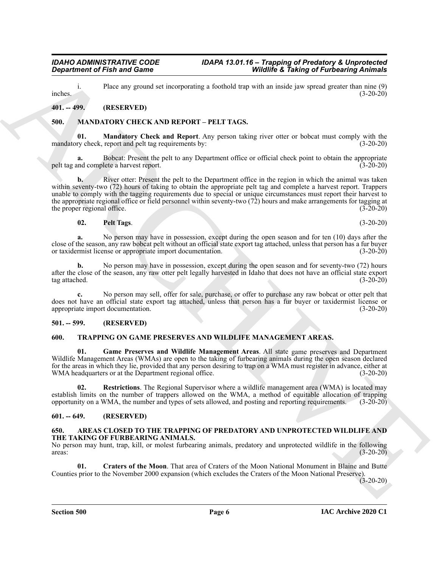i. Place any ground set incorporating a foothold trap with an inside jaw spread greater than nine (9) inches. (3-20-20)

#### <span id="page-5-0"></span>**401. -- 499. (RESERVED)**

#### <span id="page-5-8"></span><span id="page-5-1"></span>**500. MANDATORY CHECK AND REPORT – PELT TAGS.**

**01. Mandatory Check and Report**. Any person taking river otter or bobcat must comply with the mandatory check, report and pelt tag requirements by: (3-20-20)

**a.** Bobcat: Present the pelt to any Department office or official check point to obtain the appropriate ind complete a harvest report.  $(3-20-20)$ pelt tag and complete a harvest report.

*Great frieds and Come*<br> **ARCHIVE The Maximide Statistics of Finding Technique Content and the statistics of Finding Technique Content in the Statistics of Finding Technique Content in the Statistics of Finding Techniqu b.** River otter: Present the pelt to the Department office in the region in which the animal was taken within seventy-two (72) hours of taking to obtain the appropriate pelt tag and complete a harvest report. Trappers unable to comply with the tagging requirements due to special or unique circumstances must report their harvest to the appropriate regional office or field personnel within seventy-two (72) hours and make arrangements for tagging at the proper regional office. (3-20-20)

#### **02. Pelt Tags**. (3-20-20)

**a.** No person may have in possession, except during the open season and for ten (10) days after the close of the season, any raw bobcat pelt without an official state export tag attached, unless that person has a fur buyer or taxidermist license or appropriate import documentation. (3-20-20)

**b.** No person may have in possession, except during the open season and for seventy-two (72) hours after the close of the season, any raw otter pelt legally harvested in Idaho that does not have an official state export tag attached. (3-20-20) tag attached. (3-20-20)

**c.** No person may sell, offer for sale, purchase, or offer to purchase any raw bobcat or otter pelt that does not have an official state export tag attached, unless that person has a fur buyer or taxidermist license or appropriate import documentation. (3-20-20)

#### <span id="page-5-2"></span>**501. -- 599. (RESERVED)**

#### <span id="page-5-9"></span><span id="page-5-3"></span>**600. TRAPPING ON GAME PRESERVES AND WILDLIFE MANAGEMENT AREAS.**

<span id="page-5-10"></span>**01. Game Preserves and Wildlife Management Areas**. All state game preserves and Department Wildlife Management Areas (WMAs) are open to the taking of furbearing animals during the open season declared for the areas in which they lie, provided that any person desiring to trap on a WMA must register in advance, either at WMA headquarters or at the Department regional office. (3-20-20)

<span id="page-5-11"></span>**02. Restrictions**. The Regional Supervisor where a wildlife management area (WMA) is located may establish limits on the number of trappers allowed on the WMA, a method of equitable allocation of trapping opportunity on a WMA, the number and types of sets allowed, and posting and reporting requirements. (3-20-20)

#### <span id="page-5-4"></span>**601. -- 649. (RESERVED)**

#### <span id="page-5-6"></span><span id="page-5-5"></span>**650. AREAS CLOSED TO THE TRAPPING OF PREDATORY AND UNPROTECTED WILDLIFE AND THE TAKING OF FURBEARING ANIMALS.**

No person may hunt, trap, kill, or molest furbearing animals, predatory and unprotected wildlife in the following  $\frac{3-20-20}{2}$ 

<span id="page-5-7"></span>**01. Craters of the Moon**. That area of Craters of the Moon National Monument in Blaine and Butte Counties prior to the November 2000 expansion (which excludes the Craters of the Moon National Preserve).

 $(3-20-20)$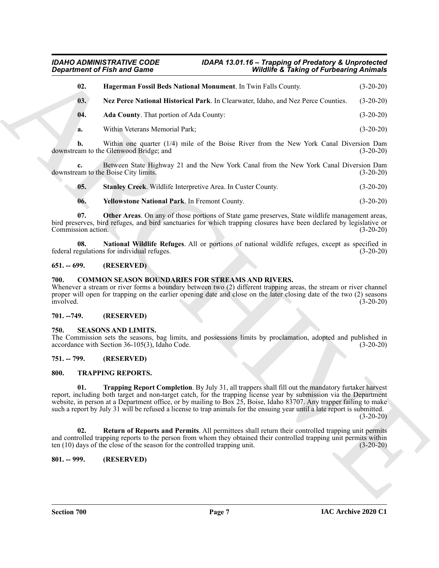#### <span id="page-6-10"></span><span id="page-6-8"></span><span id="page-6-7"></span>*IDAHO ADMINISTRATIVE CODE IDAPA 13.01.16 – Trapping of Predatory & Unprotected Wildlife & Taking of Furbearing Animals*

|                           | <b>Department of Fish and Game</b>                                                                                                                                                                                                                                                                                                                                                                                                                                           | <b>Wildlife &amp; Taking of Furbearing Animals</b> |  |
|---------------------------|------------------------------------------------------------------------------------------------------------------------------------------------------------------------------------------------------------------------------------------------------------------------------------------------------------------------------------------------------------------------------------------------------------------------------------------------------------------------------|----------------------------------------------------|--|
| 02.                       | Hagerman Fossil Beds National Monument. In Twin Falls County.                                                                                                                                                                                                                                                                                                                                                                                                                | $(3-20-20)$                                        |  |
| 03.                       | Nez Perce National Historical Park. In Clearwater, Idaho, and Nez Perce Counties.                                                                                                                                                                                                                                                                                                                                                                                            | $(3-20-20)$                                        |  |
| 04.                       | Ada County. That portion of Ada County:                                                                                                                                                                                                                                                                                                                                                                                                                                      | $(3-20-20)$                                        |  |
| a.                        | Within Veterans Memorial Park;                                                                                                                                                                                                                                                                                                                                                                                                                                               | $(3-20-20)$                                        |  |
| b.                        | Within one quarter (1/4) mile of the Boise River from the New York Canal Diversion Dam<br>downstream to the Glenwood Bridge; and                                                                                                                                                                                                                                                                                                                                             | $(3-20-20)$                                        |  |
| $c_{\bullet}$             | Between State Highway 21 and the New York Canal from the New York Canal Diversion Dam<br>downstream to the Boise City limits.                                                                                                                                                                                                                                                                                                                                                | $(3-20-20)$                                        |  |
| 05.                       | Stanley Creek. Wildlife Interpretive Area. In Custer County.                                                                                                                                                                                                                                                                                                                                                                                                                 | $(3-20-20)$                                        |  |
| 06.                       | Yellowstone National Park. In Fremont County.                                                                                                                                                                                                                                                                                                                                                                                                                                | $(3-20-20)$                                        |  |
| 07.<br>Commission action. | Other Areas. On any of those portions of State game preserves, State wildlife management areas,<br>bird preserves, bird refuges, and bird sanctuaries for which trapping closures have been declared by legislative or                                                                                                                                                                                                                                                       | $(3-20-20)$                                        |  |
| 08.                       | National Wildlife Refuges. All or portions of national wildlife refuges, except as specified in<br>federal regulations for individual refuges.                                                                                                                                                                                                                                                                                                                               | $(3-20-20)$                                        |  |
| $651 - 699.$              | (RESERVED)                                                                                                                                                                                                                                                                                                                                                                                                                                                                   |                                                    |  |
| 700.<br>involved.         | <b>COMMON SEASON BOUNDARIES FOR STREAMS AND RIVERS.</b><br>Whenever a stream or river forms a boundary between two (2) different trapping areas, the stream or river channel<br>proper will open for trapping on the earlier opening date and close on the later closing date of the two (2) seasons                                                                                                                                                                         | $(3-20-20)$                                        |  |
| $701. -749.$              | (RESERVED)                                                                                                                                                                                                                                                                                                                                                                                                                                                                   |                                                    |  |
| 750.                      | <b>SEASONS AND LIMITS.</b><br>The Commission sets the seasons, bag limits, and possessions limits by proclamation, adopted and published in<br>accordance with Section 36-105(3), Idaho Code.                                                                                                                                                                                                                                                                                | $(3-20-20)$                                        |  |
| $751. - 799.$             | (RESERVED)                                                                                                                                                                                                                                                                                                                                                                                                                                                                   |                                                    |  |
| 800.                      | <b>TRAPPING REPORTS.</b>                                                                                                                                                                                                                                                                                                                                                                                                                                                     |                                                    |  |
| 01.                       | Trapping Report Completion. By July 31, all trappers shall fill out the mandatory furtaker harvest<br>report, including both target and non-target catch, for the trapping license year by submission via the Department<br>website, in person at a Department office, or by mailing to Box 25, Boise, Idaho 83707. Any trapper failing to make<br>such a report by July 31 will be refused a license to trap animals for the ensuing year until a late report is submitted. | $(3-20-20)$                                        |  |
| 02.                       | Return of Reports and Permits. All permittees shall return their controlled trapping unit permits<br>and controlled trapping reports to the person from whom they obtained their controlled trapping unit permits within<br>ten (10) days of the close of the season for the controlled trapping unit.                                                                                                                                                                       | $(3-20-20)$                                        |  |
| $801. - 999.$             | (RESERVED)                                                                                                                                                                                                                                                                                                                                                                                                                                                                   |                                                    |  |
|                           |                                                                                                                                                                                                                                                                                                                                                                                                                                                                              |                                                    |  |
|                           |                                                                                                                                                                                                                                                                                                                                                                                                                                                                              |                                                    |  |

<span id="page-6-13"></span><span id="page-6-12"></span><span id="page-6-11"></span><span id="page-6-9"></span>

| 05. | Stanley Creek. Wildlife Interpretive Area. In Custer County. | $(3-20-20)$ |
|-----|--------------------------------------------------------------|-------------|
|     |                                                              |             |

#### <span id="page-6-0"></span>**651. -- 699. (RESERVED)**

#### <span id="page-6-14"></span><span id="page-6-1"></span>**700. COMMON SEASON BOUNDARIES FOR STREAMS AND RIVERS.**

#### <span id="page-6-2"></span>**701. --749. (RESERVED)**

#### <span id="page-6-15"></span><span id="page-6-3"></span>**750. SEASONS AND LIMITS.**

#### <span id="page-6-4"></span>**751. -- 799. (RESERVED)**

#### <span id="page-6-18"></span><span id="page-6-17"></span><span id="page-6-16"></span><span id="page-6-6"></span><span id="page-6-5"></span>**800. TRAPPING REPORTS.**